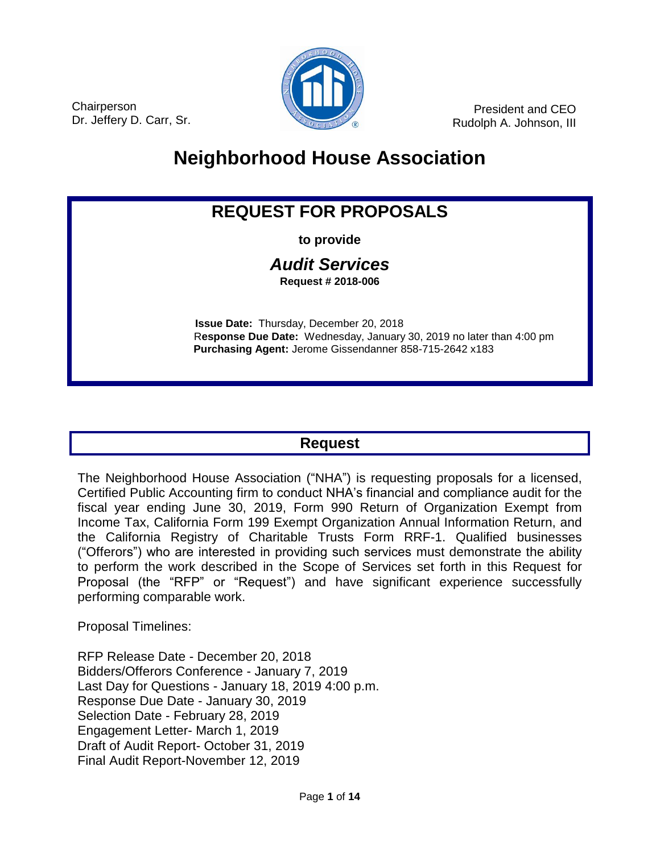

**Chairperson** Dr. Jeffery D. Carr, Sr.

President and CEO Rudolph A. Johnson, III

# **Neighborhood House Association**

## **REQUEST FOR PROPOSALS**

**to provide**

#### *Audit Services* **Request # 2018-006**

 **Issue Date:** Thursday, December 20, 2018 R**esponse Due Date:** Wednesday, January 30, 2019 no later than 4:00 pm  **Purchasing Agent:** Jerome Gissendanner 858-715-2642 x183

### **Request**

The Neighborhood House Association ("NHA") is requesting proposals for a licensed, Certified Public Accounting firm to conduct NHA's financial and compliance audit for the fiscal year ending June 30, 2019, Form 990 Return of Organization Exempt from Income Tax, California Form 199 Exempt Organization Annual Information Return, and the California Registry of Charitable Trusts Form RRF-1. Qualified businesses ("Offerors") who are interested in providing such services must demonstrate the ability to perform the work described in the Scope of Services set forth in this Request for Proposal (the "RFP" or "Request") and have significant experience successfully performing comparable work.

Proposal Timelines:

RFP Release Date - December 20, 2018 Bidders/Offerors Conference - January 7, 2019 Last Day for Questions - January 18, 2019 4:00 p.m. Response Due Date - January 30, 2019 Selection Date - February 28, 2019 Engagement Letter- March 1, 2019 Draft of Audit Report- October 31, 2019 Final Audit Report-November 12, 2019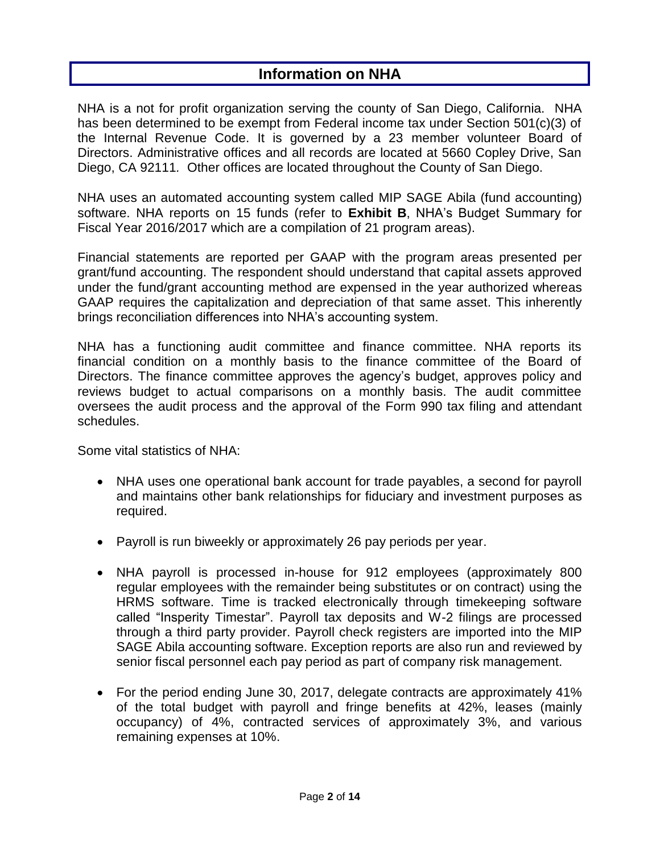### **Information on NHA**

NHA is a not for profit organization serving the county of San Diego, California. NHA has been determined to be exempt from Federal income tax under Section 501(c)(3) of the Internal Revenue Code. It is governed by a 23 member volunteer Board of Directors. Administrative offices and all records are located at 5660 Copley Drive, San Diego, CA 92111*.* Other offices are located throughout the County of San Diego.

NHA uses an automated accounting system called MIP SAGE Abila (fund accounting) software. NHA reports on 15 funds (refer to **Exhibit B**, NHA's Budget Summary for Fiscal Year 2016/2017 which are a compilation of 21 program areas).

Financial statements are reported per GAAP with the program areas presented per grant/fund accounting. The respondent should understand that capital assets approved under the fund/grant accounting method are expensed in the year authorized whereas GAAP requires the capitalization and depreciation of that same asset. This inherently brings reconciliation differences into NHA's accounting system.

NHA has a functioning audit committee and finance committee. NHA reports its financial condition on a monthly basis to the finance committee of the Board of Directors. The finance committee approves the agency's budget, approves policy and reviews budget to actual comparisons on a monthly basis. The audit committee oversees the audit process and the approval of the Form 990 tax filing and attendant schedules.

Some vital statistics of NHA:

- NHA uses one operational bank account for trade payables, a second for payroll and maintains other bank relationships for fiduciary and investment purposes as required.
- Payroll is run biweekly or approximately 26 pay periods per year.
- NHA payroll is processed in-house for 912 employees (approximately 800 regular employees with the remainder being substitutes or on contract) using the HRMS software. Time is tracked electronically through timekeeping software called "Insperity Timestar". Payroll tax deposits and W-2 filings are processed through a third party provider. Payroll check registers are imported into the MIP SAGE Abila accounting software. Exception reports are also run and reviewed by senior fiscal personnel each pay period as part of company risk management.
- For the period ending June 30, 2017, delegate contracts are approximately 41% of the total budget with payroll and fringe benefits at 42%, leases (mainly occupancy) of 4%, contracted services of approximately 3%, and various remaining expenses at 10%.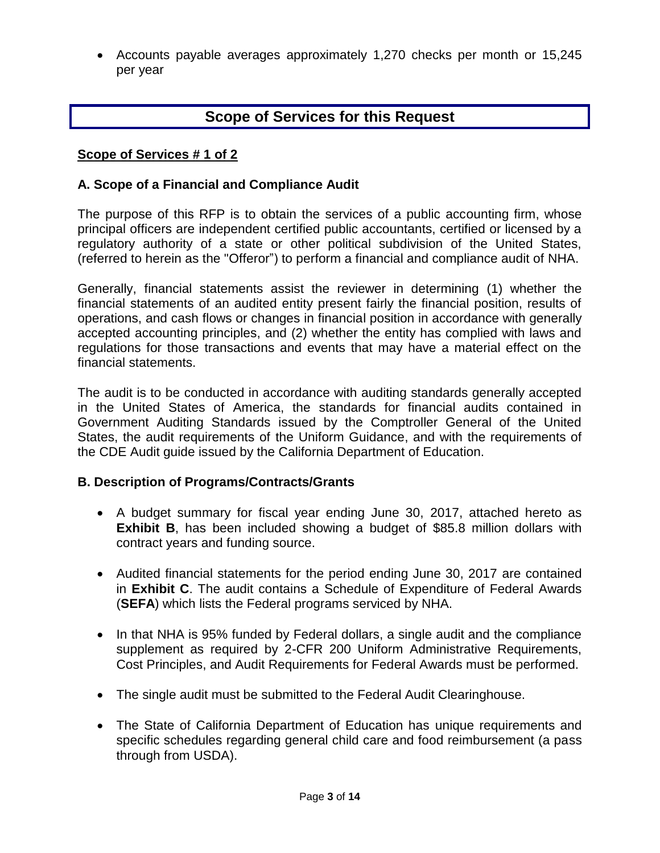Accounts payable averages approximately 1,270 checks per month or 15,245 per year

### **Scope of Services for this Request**

#### **Scope of Services # 1 of 2**

#### **A. Scope of a Financial and Compliance Audit**

The purpose of this RFP is to obtain the services of a public accounting firm, whose principal officers are independent certified public accountants, certified or licensed by a regulatory authority of a state or other political subdivision of the United States, (referred to herein as the "Offeror") to perform a financial and compliance audit of NHA.

Generally, financial statements assist the reviewer in determining (1) whether the financial statements of an audited entity present fairly the financial position, results of operations, and cash flows or changes in financial position in accordance with generally accepted accounting principles, and (2) whether the entity has complied with laws and regulations for those transactions and events that may have a material effect on the financial statements.

The audit is to be conducted in accordance with auditing standards generally accepted in the United States of America, the standards for financial audits contained in Government Auditing Standards issued by the Comptroller General of the United States, the audit requirements of the Uniform Guidance, and with the requirements of the CDE Audit guide issued by the California Department of Education.

#### **B. Description of Programs/Contracts/Grants**

- A budget summary for fiscal year ending June 30, 2017, attached hereto as **Exhibit B**, has been included showing a budget of \$85.8 million dollars with contract years and funding source.
- Audited financial statements for the period ending June 30, 2017 are contained in **Exhibit C**. The audit contains a Schedule of Expenditure of Federal Awards (**SEFA**) which lists the Federal programs serviced by NHA.
- In that NHA is 95% funded by Federal dollars, a single audit and the compliance supplement as required by 2-CFR 200 Uniform Administrative Requirements, Cost Principles, and Audit Requirements for Federal Awards must be performed.
- The single audit must be submitted to the Federal Audit Clearinghouse.
- The State of California Department of Education has unique requirements and specific schedules regarding general child care and food reimbursement (a pass through from USDA).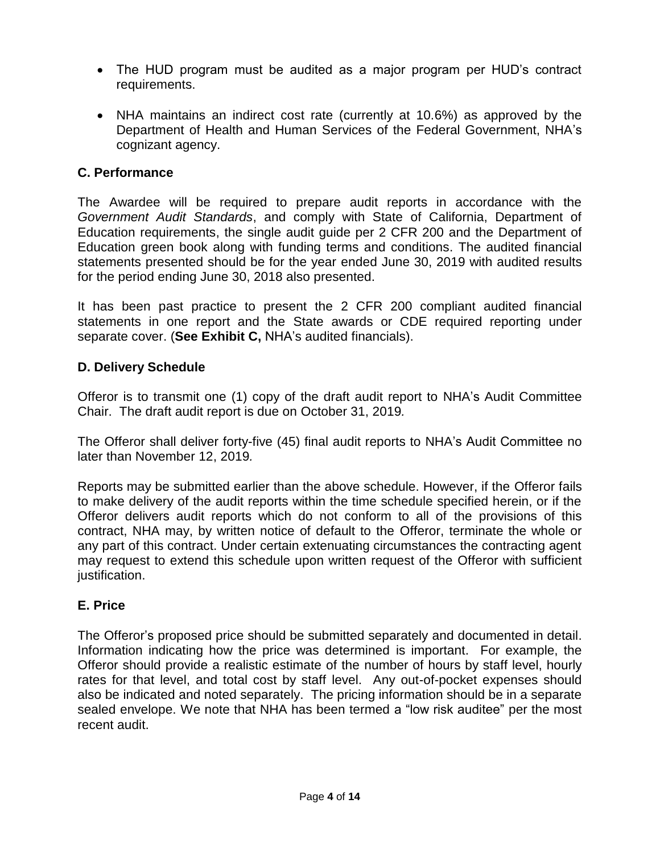- The HUD program must be audited as a major program per HUD's contract requirements.
- NHA maintains an indirect cost rate (currently at 10.6%) as approved by the Department of Health and Human Services of the Federal Government, NHA's cognizant agency.

### **C. Performance**

The Awardee will be required to prepare audit reports in accordance with the *Government Audit Standards*, and comply with State of California, Department of Education requirements, the single audit guide per 2 CFR 200 and the Department of Education green book along with funding terms and conditions. The audited financial statements presented should be for the year ended June 30, 2019 with audited results for the period ending June 30, 2018 also presented.

It has been past practice to present the 2 CFR 200 compliant audited financial statements in one report and the State awards or CDE required reporting under separate cover. (**See Exhibit C,** NHA's audited financials).

#### **D. Delivery Schedule**

Offeror is to transmit one (1) copy of the draft audit report to NHA's Audit Committee Chair. The draft audit report is due on October 31, 2019*.*

The Offeror shall deliver forty-five (45) final audit reports to NHA's Audit Committee no later than November 12, 2019*.*

Reports may be submitted earlier than the above schedule. However, if the Offeror fails to make delivery of the audit reports within the time schedule specified herein, or if the Offeror delivers audit reports which do not conform to all of the provisions of this contract, NHA may, by written notice of default to the Offeror, terminate the whole or any part of this contract. Under certain extenuating circumstances the contracting agent may request to extend this schedule upon written request of the Offeror with sufficient justification.

#### **E. Price**

The Offeror's proposed price should be submitted separately and documented in detail. Information indicating how the price was determined is important. For example, the Offeror should provide a realistic estimate of the number of hours by staff level, hourly rates for that level, and total cost by staff level. Any out-of-pocket expenses should also be indicated and noted separately. The pricing information should be in a separate sealed envelope. We note that NHA has been termed a "low risk auditee" per the most recent audit.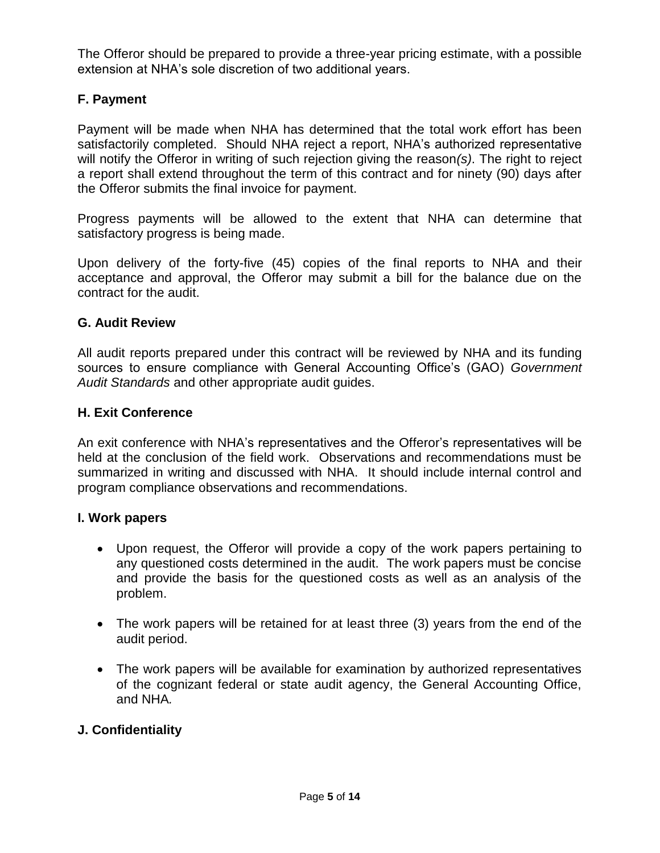The Offeror should be prepared to provide a three-year pricing estimate, with a possible extension at NHA's sole discretion of two additional years.

### **F. Payment**

Payment will be made when NHA has determined that the total work effort has been satisfactorily completed. Should NHA reject a report, NHA's authorized representative will notify the Offeror in writing of such rejection giving the reason*(s)*. The right to reject a report shall extend throughout the term of this contract and for ninety (90) days after the Offeror submits the final invoice for payment.

Progress payments will be allowed to the extent that NHA can determine that satisfactory progress is being made.

Upon delivery of the forty-five (45) copies of the final reports to NHA and their acceptance and approval, the Offeror may submit a bill for the balance due on the contract for the audit.

#### **G. Audit Review**

All audit reports prepared under this contract will be reviewed by NHA and its funding sources to ensure compliance with General Accounting Office's (GAO) *Government Audit Standards* and other appropriate audit guides.

#### **H. Exit Conference**

An exit conference with NHA's representatives and the Offeror's representatives will be held at the conclusion of the field work. Observations and recommendations must be summarized in writing and discussed with NHA. It should include internal control and program compliance observations and recommendations.

#### **I. Work papers**

- Upon request, the Offeror will provide a copy of the work papers pertaining to any questioned costs determined in the audit. The work papers must be concise and provide the basis for the questioned costs as well as an analysis of the problem.
- The work papers will be retained for at least three (3) years from the end of the audit period.
- The work papers will be available for examination by authorized representatives of the cognizant federal or state audit agency, the General Accounting Office, and NHA*.*

#### **J. Confidentiality**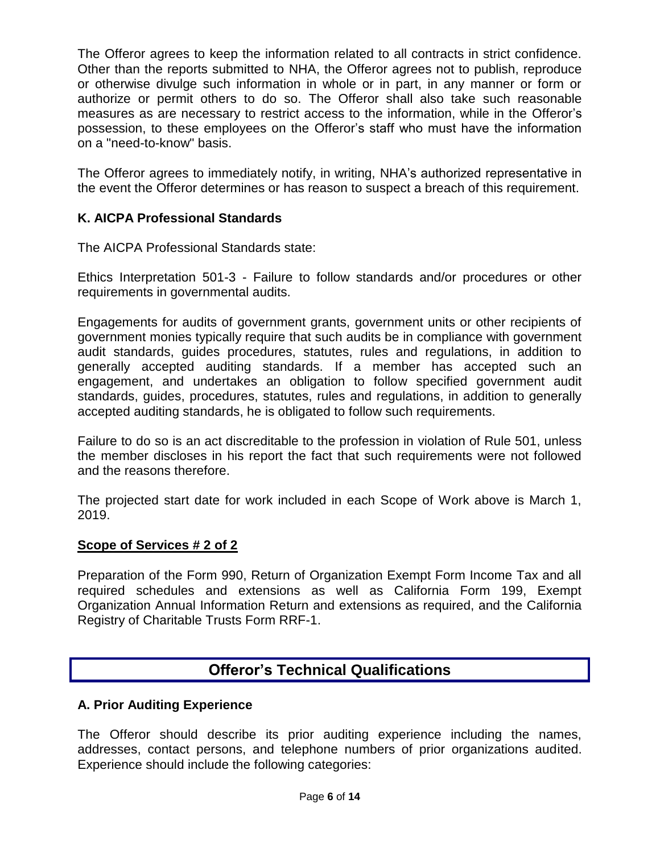The Offeror agrees to keep the information related to all contracts in strict confidence. Other than the reports submitted to NHA, the Offeror agrees not to publish, reproduce or otherwise divulge such information in whole or in part, in any manner or form or authorize or permit others to do so. The Offeror shall also take such reasonable measures as are necessary to restrict access to the information, while in the Offeror's possession, to these employees on the Offeror's staff who must have the information on a "need-to-know" basis.

The Offeror agrees to immediately notify, in writing, NHA's authorized representative in the event the Offeror determines or has reason to suspect a breach of this requirement.

### **K. AICPA Professional Standards**

The AICPA Professional Standards state:

Ethics Interpretation 501-3 - Failure to follow standards and/or procedures or other requirements in governmental audits.

Engagements for audits of government grants, government units or other recipients of government monies typically require that such audits be in compliance with government audit standards, guides procedures, statutes, rules and regulations, in addition to generally accepted auditing standards. If a member has accepted such an engagement, and undertakes an obligation to follow specified government audit standards, guides, procedures, statutes, rules and regulations, in addition to generally accepted auditing standards, he is obligated to follow such requirements.

Failure to do so is an act discreditable to the profession in violation of Rule 501, unless the member discloses in his report the fact that such requirements were not followed and the reasons therefore.

The projected start date for work included in each Scope of Work above is March 1, 2019.

#### **Scope of Services # 2 of 2**

Preparation of the Form 990, Return of Organization Exempt Form Income Tax and all required schedules and extensions as well as California Form 199, Exempt Organization Annual Information Return and extensions as required, and the California Registry of Charitable Trusts Form RRF-1.

### **Offeror's Technical Qualifications**

#### **A. Prior Auditing Experience**

The Offeror should describe its prior auditing experience including the names, addresses, contact persons, and telephone numbers of prior organizations audited. Experience should include the following categories: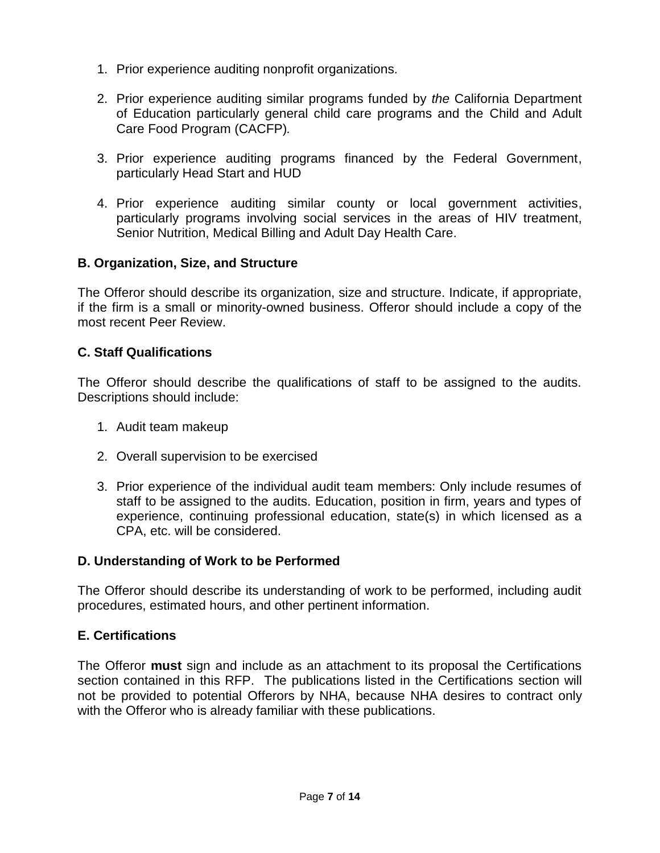- 1. Prior experience auditing nonprofit organizations*.*
- 2. Prior experience auditing similar programs funded by *the* California Department of Education particularly general child care programs and the Child and Adult Care Food Program (CACFP)*.*
- 3. Prior experience auditing programs financed by the Federal Government, particularly Head Start and HUD
- 4. Prior experience auditing similar county or local government activities, particularly programs involving social services in the areas of HIV treatment, Senior Nutrition, Medical Billing and Adult Day Health Care.

#### **B. Organization, Size, and Structure**

The Offeror should describe its organization, size and structure. Indicate, if appropriate, if the firm is a small or minority-owned business. Offeror should include a copy of the most recent Peer Review.

#### **C. Staff Qualifications**

The Offeror should describe the qualifications of staff to be assigned to the audits. Descriptions should include:

- 1. Audit team makeup
- 2. Overall supervision to be exercised
- 3. Prior experience of the individual audit team members: Only include resumes of staff to be assigned to the audits. Education, position in firm, years and types of experience, continuing professional education, state(s) in which licensed as a CPA, etc. will be considered.

#### **D. Understanding of Work to be Performed**

The Offeror should describe its understanding of work to be performed, including audit procedures, estimated hours, and other pertinent information.

#### **E. Certifications**

The Offeror **must** sign and include as an attachment to its proposal the Certifications section contained in this RFP. The publications listed in the Certifications section will not be provided to potential Offerors by NHA, because NHA desires to contract only with the Offeror who is already familiar with these publications.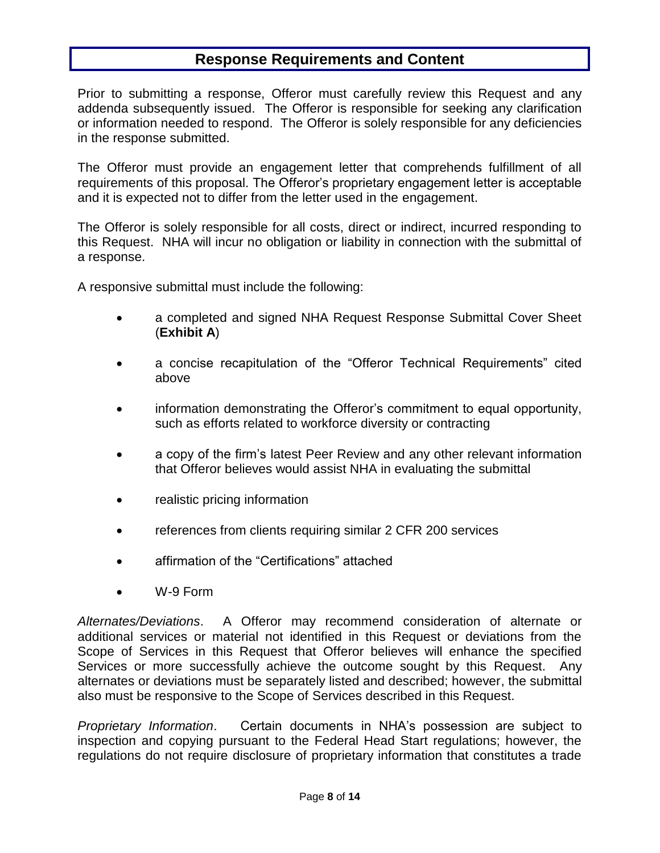### **Response Requirements and Content**

Prior to submitting a response, Offeror must carefully review this Request and any addenda subsequently issued. The Offeror is responsible for seeking any clarification or information needed to respond. The Offeror is solely responsible for any deficiencies in the response submitted.

The Offeror must provide an engagement letter that comprehends fulfillment of all requirements of this proposal. The Offeror's proprietary engagement letter is acceptable and it is expected not to differ from the letter used in the engagement.

The Offeror is solely responsible for all costs, direct or indirect, incurred responding to this Request. NHA will incur no obligation or liability in connection with the submittal of a response.

A responsive submittal must include the following:

- a completed and signed NHA Request Response Submittal Cover Sheet (**Exhibit A**)
- a concise recapitulation of the "Offeror Technical Requirements" cited above
- information demonstrating the Offeror's commitment to equal opportunity, such as efforts related to workforce diversity or contracting
- a copy of the firm's latest Peer Review and any other relevant information that Offeror believes would assist NHA in evaluating the submittal
- realistic pricing information
- references from clients requiring similar 2 CFR 200 services
- affirmation of the "Certifications" attached
- W-9 Form

*Alternates/Deviations*. A Offeror may recommend consideration of alternate or additional services or material not identified in this Request or deviations from the Scope of Services in this Request that Offeror believes will enhance the specified Services or more successfully achieve the outcome sought by this Request. Any alternates or deviations must be separately listed and described; however, the submittal also must be responsive to the Scope of Services described in this Request.

*Proprietary Information*. Certain documents in NHA's possession are subject to inspection and copying pursuant to the Federal Head Start regulations; however, the regulations do not require disclosure of proprietary information that constitutes a trade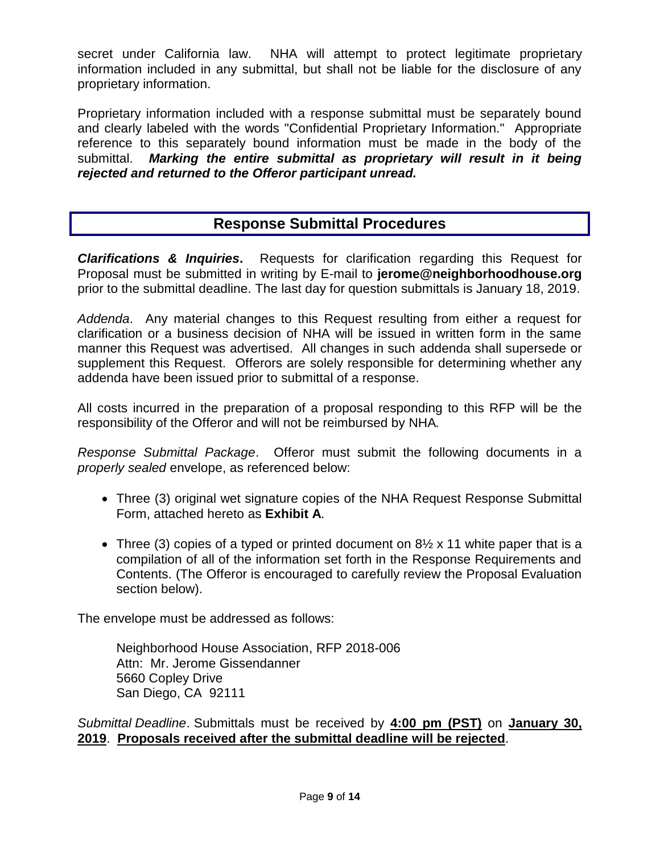secret under California law. NHA will attempt to protect legitimate proprietary information included in any submittal, but shall not be liable for the disclosure of any proprietary information.

Proprietary information included with a response submittal must be separately bound and clearly labeled with the words "Confidential Proprietary Information." Appropriate reference to this separately bound information must be made in the body of the submittal. *Marking the entire submittal as proprietary will result in it being rejected and returned to the Offeror participant unread.*

### **Response Submittal Procedures**

*Clarifications & Inquiries***.** Requests for clarification regarding this Request for Proposal must be submitted in writing by E-mail to **jerome@neighborhoodhouse.org** prior to the submittal deadline. The last day for question submittals is January 18, 2019.

*Addenda*. Any material changes to this Request resulting from either a request for clarification or a business decision of NHA will be issued in written form in the same manner this Request was advertised. All changes in such addenda shall supersede or supplement this Request. Offerors are solely responsible for determining whether any addenda have been issued prior to submittal of a response.

All costs incurred in the preparation of a proposal responding to this RFP will be the responsibility of the Offeror and will not be reimbursed by NHA*.*

*Response Submittal Package*. Offeror must submit the following documents in a *properly sealed* envelope, as referenced below:

- Three (3) original wet signature copies of the NHA Request Response Submittal Form, attached hereto as **Exhibit A**.
- Three (3) copies of a typed or printed document on  $8\frac{1}{2}$  x 11 white paper that is a compilation of all of the information set forth in the Response Requirements and Contents. (The Offeror is encouraged to carefully review the Proposal Evaluation section below).

The envelope must be addressed as follows:

Neighborhood House Association, RFP 2018-006 Attn: Mr. Jerome Gissendanner 5660 Copley Drive San Diego, CA 92111

*Submittal Deadline*. Submittals must be received by **4:00 pm (PST)** on **January 30, 2019**. **Proposals received after the submittal deadline will be rejected**.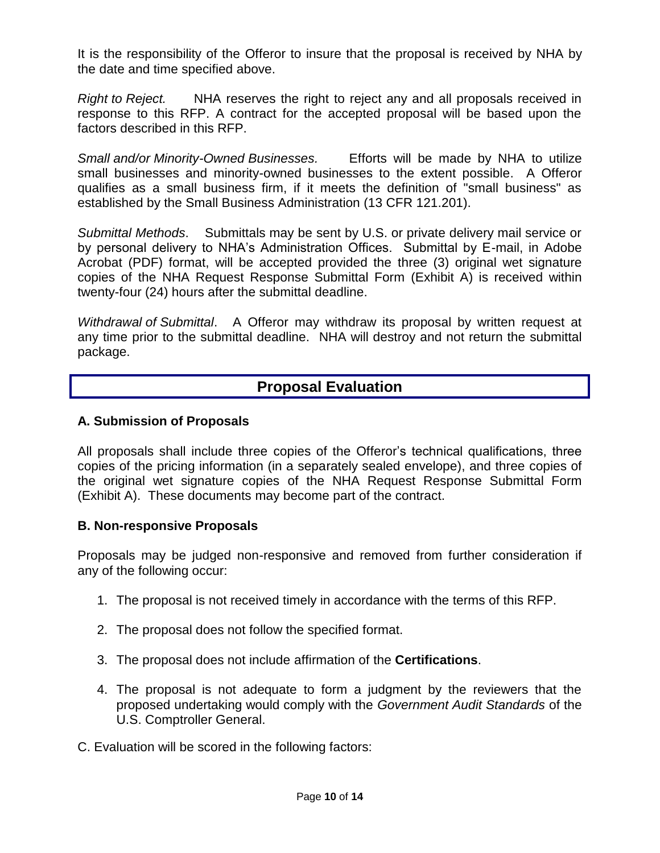It is the responsibility of the Offeror to insure that the proposal is received by NHA by the date and time specified above.

*Right to Reject.* NHA reserves the right to reject any and all proposals received in response to this RFP. A contract for the accepted proposal will be based upon the factors described in this RFP.

*Small and/or Minority-Owned Businesses.* Efforts will be made by NHA to utilize small businesses and minority-owned businesses to the extent possible. A Offeror qualifies as a small business firm, if it meets the definition of "small business" as established by the Small Business Administration (13 CFR 121.201).

*Submittal Methods*. Submittals may be sent by U.S. or private delivery mail service or by personal delivery to NHA's Administration Offices. Submittal by E-mail, in Adobe Acrobat (PDF) format, will be accepted provided the three (3) original wet signature copies of the NHA Request Response Submittal Form (Exhibit A) is received within twenty-four (24) hours after the submittal deadline.

*Withdrawal of Submittal*. A Offeror may withdraw its proposal by written request at any time prior to the submittal deadline. NHA will destroy and not return the submittal package.

### **Proposal Evaluation**

#### **A. Submission of Proposals**

All proposals shall include three copies of the Offeror's technical qualifications, three copies of the pricing information (in a separately sealed envelope), and three copies of the original wet signature copies of the NHA Request Response Submittal Form (Exhibit A). These documents may become part of the contract.

#### **B. Non-responsive Proposals**

Proposals may be judged non-responsive and removed from further consideration if any of the following occur:

- 1. The proposal is not received timely in accordance with the terms of this RFP.
- 2. The proposal does not follow the specified format.
- 3. The proposal does not include affirmation of the **Certifications**.
- 4. The proposal is not adequate to form a judgment by the reviewers that the proposed undertaking would comply with the *Government Audit Standards* of the U.S. Comptroller General.
- C. Evaluation will be scored in the following factors: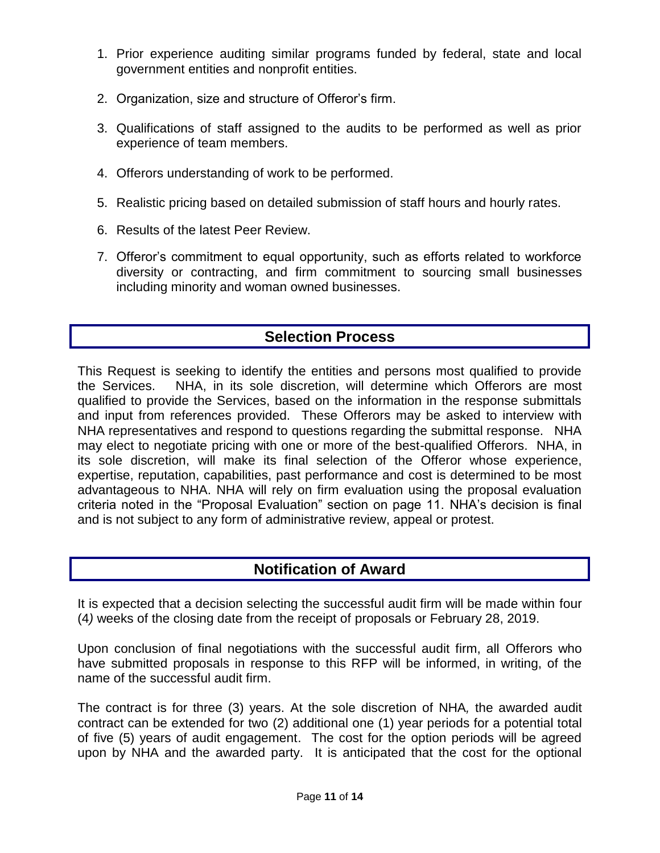- 1. Prior experience auditing similar programs funded by federal, state and local government entities and nonprofit entities.
- 2. Organization, size and structure of Offeror's firm.
- 3. Qualifications of staff assigned to the audits to be performed as well as prior experience of team members.
- 4. Offerors understanding of work to be performed.
- 5. Realistic pricing based on detailed submission of staff hours and hourly rates.
- 6. Results of the latest Peer Review.
- 7. Offeror's commitment to equal opportunity, such as efforts related to workforce diversity or contracting, and firm commitment to sourcing small businesses including minority and woman owned businesses.

### **Selection Process**

This Request is seeking to identify the entities and persons most qualified to provide the Services. NHA, in its sole discretion, will determine which Offerors are most qualified to provide the Services, based on the information in the response submittals and input from references provided. These Offerors may be asked to interview with NHA representatives and respond to questions regarding the submittal response. NHA may elect to negotiate pricing with one or more of the best-qualified Offerors. NHA, in its sole discretion, will make its final selection of the Offeror whose experience, expertise, reputation, capabilities, past performance and cost is determined to be most advantageous to NHA. NHA will rely on firm evaluation using the proposal evaluation criteria noted in the "Proposal Evaluation" section on page 11. NHA's decision is final and is not subject to any form of administrative review, appeal or protest.

### **Notification of Award**

It is expected that a decision selecting the successful audit firm will be made within four (4*)* weeks of the closing date from the receipt of proposals or February 28, 2019.

Upon conclusion of final negotiations with the successful audit firm, all Offerors who have submitted proposals in response to this RFP will be informed, in writing, of the name of the successful audit firm.

The contract is for three (3) years. At the sole discretion of NHA*,* the awarded audit contract can be extended for two (2) additional one (1) year periods for a potential total of five (5) years of audit engagement. The cost for the option periods will be agreed upon by NHA and the awarded party. It is anticipated that the cost for the optional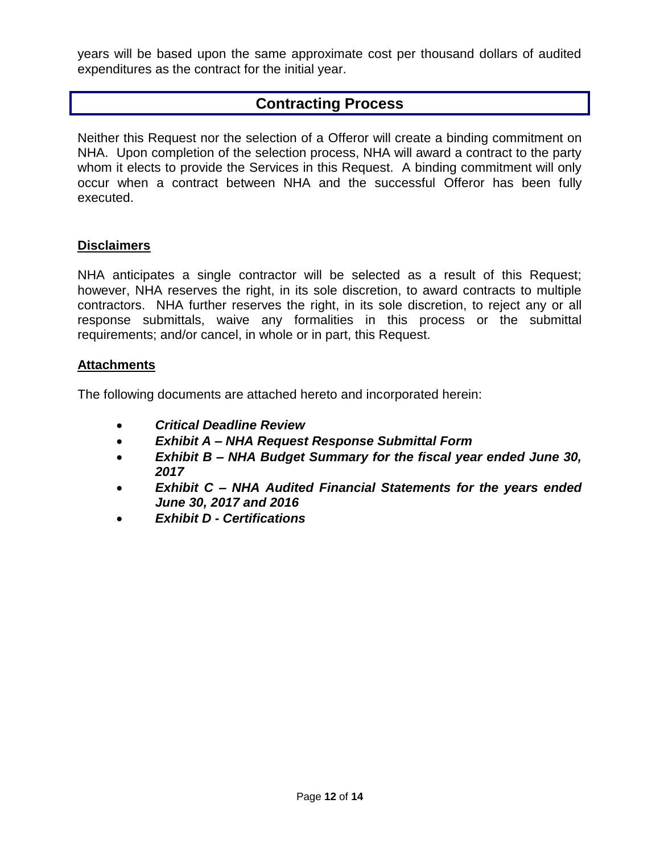years will be based upon the same approximate cost per thousand dollars of audited expenditures as the contract for the initial year.

### **Contracting Process**

Neither this Request nor the selection of a Offeror will create a binding commitment on NHA. Upon completion of the selection process, NHA will award a contract to the party whom it elects to provide the Services in this Request. A binding commitment will only occur when a contract between NHA and the successful Offeror has been fully executed.

#### **Disclaimers**

NHA anticipates a single contractor will be selected as a result of this Request; however, NHA reserves the right, in its sole discretion, to award contracts to multiple contractors. NHA further reserves the right, in its sole discretion, to reject any or all response submittals, waive any formalities in this process or the submittal requirements; and/or cancel, in whole or in part, this Request.

#### **Attachments**

The following documents are attached hereto and incorporated herein:

- *Critical Deadline Review*
- *Exhibit A – NHA Request Response Submittal Form*
- *Exhibit B – NHA Budget Summary for the fiscal year ended June 30, 2017*
- *Exhibit C – NHA Audited Financial Statements for the years ended June 30, 2017 and 2016*
- *Exhibit D - Certifications*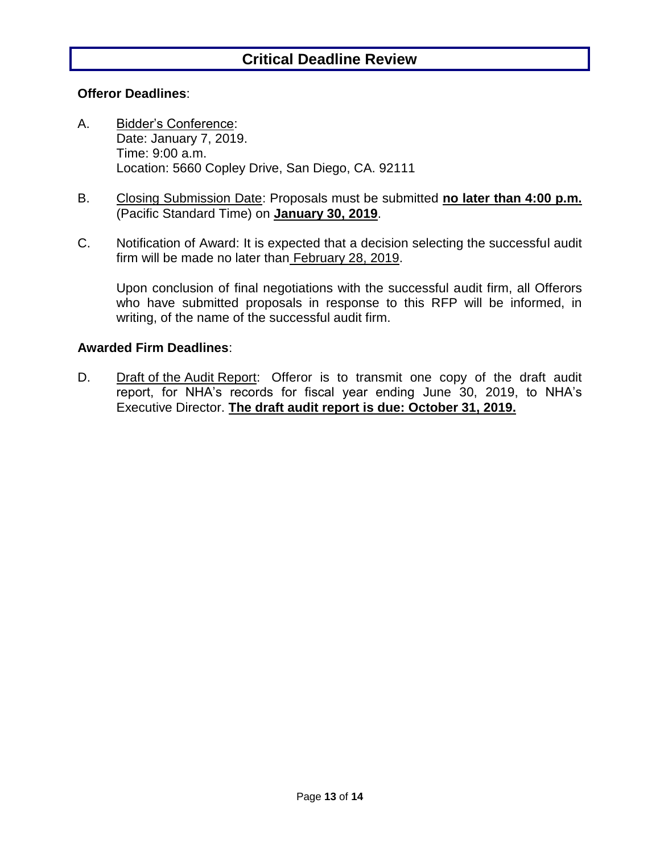### **Critical Deadline Review**

#### **Offeror Deadlines**:

- A. Bidder's Conference: Date: January 7, 2019. Time: 9:00 a.m. Location: 5660 Copley Drive, San Diego, CA. 92111
- B. Closing Submission Date: Proposals must be submitted **no later than 4:00 p.m.** (Pacific Standard Time) on **January 30, 2019**.
- C. Notification of Award: It is expected that a decision selecting the successful audit firm will be made no later than February 28, 2019.

Upon conclusion of final negotiations with the successful audit firm, all Offerors who have submitted proposals in response to this RFP will be informed, in writing, of the name of the successful audit firm.

#### **Awarded Firm Deadlines**:

D. Draft of the Audit Report: Offeror is to transmit one copy of the draft audit report, for NHA's records for fiscal year ending June 30, 2019, to NHA's Executive Director. **The draft audit report is due: October 31, 2019.**